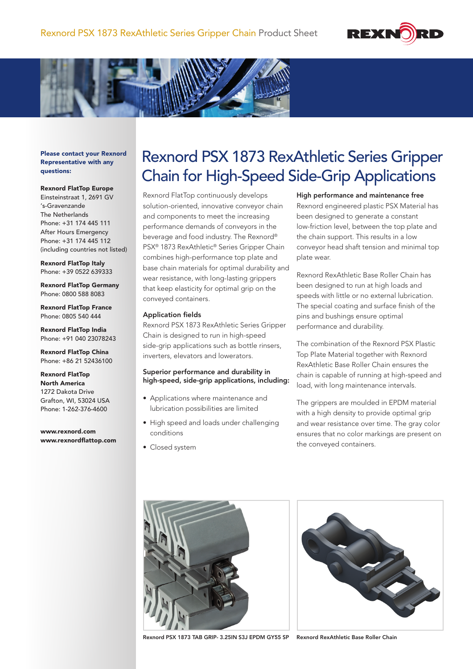



Please contact your Rexnord Representative with any questions:

#### Rexnord FlatTop Europe

Einsteinstraat 1, 2691 GV 's-Gravenzande The Netherlands Phone: +31 174 445 111 After Hours Emergency Phone: +31 174 445 112 (including countries not listed)

Rexnord FlatTop Italy Phone: +39 0522 639333

Rexnord FlatTop Germany Phone: 0800 588 8083

Rexnord FlatTop France Phone: 0805 540 444

Rexnord FlatTop India Phone: +91 040 23078243

Rexnord FlatTop China Phone: +86 21 52436100

Rexnord FlatTop North America 1272 Dakota Drive Grafton, WI, 53024 USA Phone: 1-262-376-4600

www.rexnord.com www.rexnordflattop.com

# Rexnord PSX 1873 RexAthletic Series Gripper Chain for High-Speed Side-Grip Applications

Rexnord FlatTop continuously develops solution-oriented, innovative conveyor chain and components to meet the increasing performance demands of conveyors in the beverage and food industry. The Rexnord® PSX® 1873 RexAthletic® Series Gripper Chain combines high-performance top plate and base chain materials for optimal durability and wear resistance, with long-lasting grippers that keep elasticity for optimal grip on the conveyed containers.

### Application fields

Rexnord PSX 1873 RexAthletic Series Gripper Chain is designed to run in high-speed side-grip applications such as bottle rinsers, inverters, elevators and lowerators.

# Superior performance and durability in high-speed, side-grip applications, including:

- Applications where maintenance and lubrication possibilities are limited
- High speed and loads under challenging conditions
- Closed system

High performance and maintenance free

Rexnord engineered plastic PSX Material has been designed to generate a constant low-friction level, between the top plate and the chain support. This results in a low conveyor head shaft tension and minimal top plate wear.

Rexnord RexAthletic Base Roller Chain has been designed to run at high loads and speeds with little or no external lubrication. The special coating and surface finish of the pins and bushings ensure optimal performance and durability.

The combination of the Rexnord PSX Plastic Top Plate Material together with Rexnord RexAthletic Base Roller Chain ensures the chain is capable of running at high-speed and load, with long maintenance intervals.

The grippers are moulded in EPDM material with a high density to provide optimal grip and wear resistance over time. The gray color ensures that no color markings are present on the conveyed containers.





Rexnord PSX 1873 TAB GRIP- 3.25IN S3J EPDM GY55 SP Rexnord RexAthletic Base Roller Chain